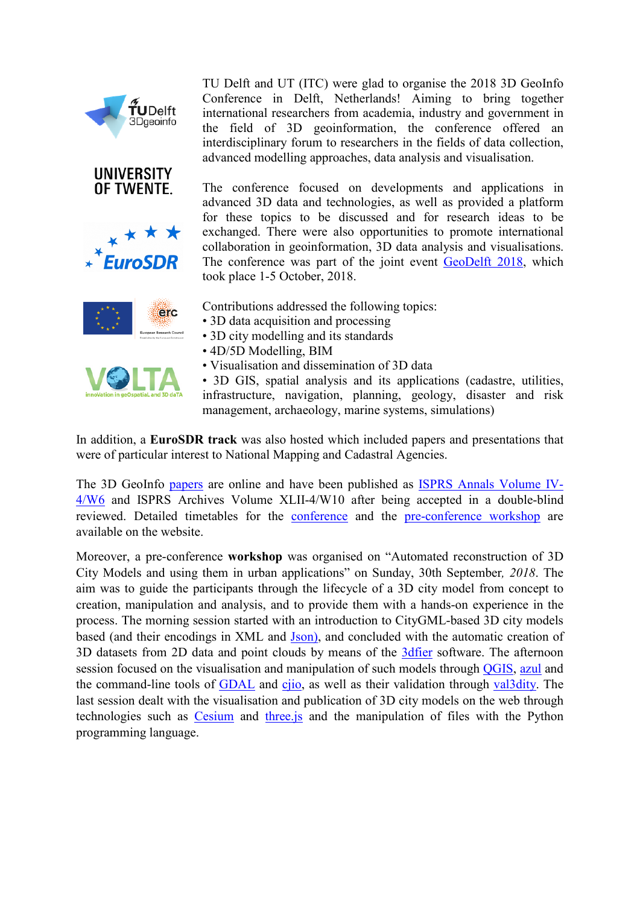



TU Delft and UT (ITC) were glad to organise the 2018 3D GeoInfo Conference in Delft, Netherlands! Aiming to bring together international researchers from academia, industry and government in the field of 3D geoinformation, the conference offered an interdisciplinary forum to researchers in the fields of data collection, advanced modelling approaches, data analysis and visualisation.

The conference focused on developments and applications in advanced 3D data and technologies, as well as provided a platform for these topics to be discussed and for research ideas to be exchanged. There were also opportunities to promote international collaboration in geoinformation, 3D data analysis and visualisations. The conference was part of the joint event [GeoDelft 2018,](https://www.tudelft.nl/geodelft2018/) which took place 1-5 October, 2018.

Contributions addressed the following topics:

- 3D data acquisition and processing
- 3D city modelling and its standards
- 4D/5D Modelling, BIM
- Visualisation and dissemination of 3D data
- 3D GIS, spatial analysis and its applications (cadastre, utilities, infrastructure, navigation, planning, geology, disaster and risk management, archaeology, marine systems, simulations)

In addition, a **EuroSDR track** was also hosted which included papers and presentations that were of particular interest to National Mapping and Cadastral Agencies.

The 3D GeoInfo [papers](https://3dgeoinfo2018.nl/papers.html) are online and have been published as [ISPRS Annals Volume IV-](https://www.isprs-ann-photogramm-remote-sens-spatial-inf-sci.net/IV-4-W6/index.html)[4/W6](https://www.isprs-ann-photogramm-remote-sens-spatial-inf-sci.net/IV-4-W6/index.html) and [ISPRS Archives Volume XLII-4/W10](https://www.int-arch-photogramm-remote-sens-spatial-inf-sci.net/XLII-4-W10/index.html) after being accepted in a double-blind reviewed. Detailed timetables for the [conference](https://3dgeoinfo2018.nl/programme.html#timetable) and the [pre-conference workshop](https://3dgeoinfo2018.nl/workshop.html) are available on the website.

Moreover, a pre-conference **workshop** was organised on "Automated reconstruction of 3D City Models and using them in urban applications" on Sunday, 30th September*, 2018*. The aim was to guide the participants through the lifecycle of a 3D city model from concept to creation, manipulation and analysis, and to provide them with a hands-on experience in the process. The morning session started with an introduction to CityGML-based 3D city models based (and their encodings in XML and [Json\),](http://www.cityjson.org/) and concluded with the automatic creation of 3D datasets from 2D data and point clouds by means of the [3dfier](https://github.com/tudelft3d/3dfier/wiki) software. The afternoon session focused on the visualisation and manipulation of such models through [QGIS,](https://qgis.org/en/site/) [azul](https://itunes.apple.com/us/app/azul/id1173239678?mt=12) and the command-line tools of **[GDAL](http://www.gdal.org/)** and [cjio,](https://github.com/tudelft3d/cjio) as well as their validation through [val3dity.](http://geovalidation.bk.tudelft.nl/val3dity/) The last session dealt with the visualisation and publication of 3D city models on the web through technologies such as [Cesium](https://cesiumjs.org/) and [three.js](https://threejs.org/) and the manipulation of files with the Python programming language.



erc